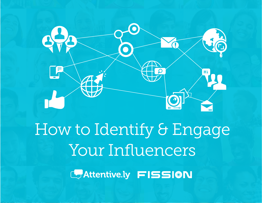

# How to Identify & Engage Your Influencers

CAttentive.ly FISSION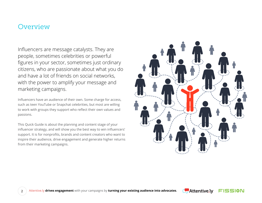### **Overview**

Influencers are message catalysts. They are people, sometimes celebrities or powerful figures in your sector, sometimes just ordinary citizens, who are passionate about what you do and have a lot of friends on social networks, with the power to amplify your message and marketing campaigns.

Influencers have an audience of their own. Some charge for access, such as teen YouTube or Snapchat celebrities, but most are willing to work with groups they support who reflect their own values and passions.

This Quick Guide is about the planning and content stage of your influencer strategy, and will show you the best way to win influencers' support. It is for nonprofits, brands and content creators who want to inspire their audience, drive engagement and generate higher returns from their marketing campaigns.





FISSION

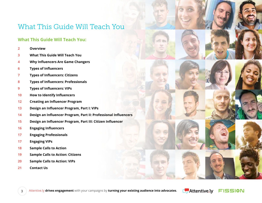### What This Guide Will Teach You

#### **What This Guide Will Teach You:**

- **Overview**
- **What This Guide Will Teach You**
- **Why Influencers Are Game Changers**
- **Types of Influencers**
- **Types of Influencers: Citizens**
- **Types of Influencers: Professionals**
- **Types of Influencers: VIPs**
- **How to Identify Influencers**
- **Creating an Influencer Program**
- **Design an Influencer Program, Part I: VIPs**
- **Design an Influencer Program, Part II: Professional Influencers**
- **Design an Influencer Program, Part III: Citizen Influencer**
- **Engaging Influencers**
- **Engaging Professionals**
- **Engaging VIPs**
- **Sample Calls to Action**
- **Sample Calls to Action: Citizens**
- **Sample Calls to Action: VIPs**
- **Contact Us**





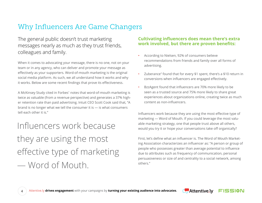### Why Influencers Are Game Changers

### The general public doesn't trust marketing messages nearly as much as they trust friends, colleagues and family.

When it comes to advocating your message, there is no one, not on your team or in any agency, who can deliver and promote your message as effectively as your supporters. Word-of-mouth marketing is the original social media platform. As such, we all understand how it works and why it works. Below are some recent findings that prove its effectiveness.

A McKinsey Study cited in Forbes<sup>1</sup> notes that word-of-mouth marketing is twice as valuable (from a revenue perspective) and generates a 37% higher retention rate than paid advertising. Intuit CEO Scott Cook said that, "A brand is no longer what we tell the consumer it is — is what consumers tell each other it is."

Influencers work because they are using the most effective type of marketing — Word of Mouth.

#### **Cultivating influencers does mean there's extra work involved, but there are proven benefits:**

- According to Nielsen, 92% of consumers believe recommendations from friends and family over all forms of advertising.
- Zuberance2 found that for every \$1 spent, there's a \$10 return in conversions when influencers are engaged effectively.
- BzzAgent found that influencers are 70% more likely to be seen as a trusted source and 75% more likely to share great experiences about organizations online, creating twice as much content as non-influencers.

Influencers work because they are using the most effective type of marketing — Word of Mouth. If you could leverage the most valuable marketing strategy, one that people trust above all others, would you try it or hope your conversations take off organically?

First, let's define what an influencer is. The Word of Mouth Marketing Association characterizes an influencer as: "A person or group of people who possesses greater than average potential to influence due to attributes such as frequency of communication, personal persuasiveness or size of and centrality to a social network, among others."

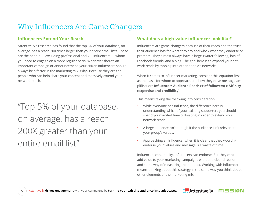### Why Influencers Are Game Changers

#### **Influencers Extend Your Reach**

Attentive.ly's research has found that the top 5% of your database, on average, has a reach 200 times larger than your entire email lists. These are the people — excluding professional and VIP influencers — whom you need to engage on a more regular basis. Whenever there's an important campaign or announcement, your citizen influencers should always be a factor in the marketing mix. Why? Because they are the people who can help share your content and massively extend your network reach.

# "Top 5% of your database, on average, has a reach 200X greater than your entire email list"

#### **What does a high-value influencer look like?**

Influencers are game changers because of their reach and the trust their audience has for what they say and who / what they endorse or promote. They almost always have a large Twitter following, lots of Facebook friends, and a blog. The goal here is to expand your network reach by tapping into other people's networks.

When it comes to influencer marketing, consider this equation first as the basis for whom to approach and how they drive message amplification: **Influence = Audience Reach (# of followers) x Affinity (expertise and credibility)**

This means taking the following into consideration:

- While everyone has influence, the difference here is understanding which of your existing supporters you should spend your limited time cultivating in order to extend your network reach.
- A large audience isn't enough if the audience isn't relevant to your group's values.
- Approaching an influencer when it is clear that they wouldn't endorse your values and message is a waste of time.

Influencers can amplify. Influencers can endorse. But they can't add value to your marketing campaigns without a clear direction and some way of measuring their impact. Working with influencers means thinking about this strategy in the same way you think about other elements of the marketing mix.



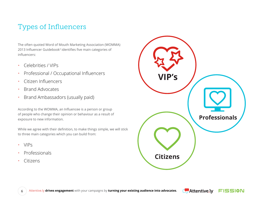### Types of Influencers

The often quoted Word of Mouth Marketing Association (WOMMA) 2013 Influencer Guidebook<sup>3</sup> identifies five main categories of influencers:

- Celebrities / VIPs
- Professional / Occupational Influencers
- Citizen Influencers
- Brand Advocates
- Brand Ambassadors (usually paid)

According to the WOMMA, an Influencee is a person or group of people who change their opinion or behaviour as a result of exposure to new information.

While we agree with their definition, to make things simple, we will stick to three main categories which you can build from:

- VIPs
- Professionals
- Citizens





FISSION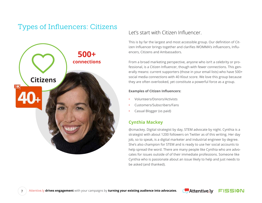# Types of Influencers: Citizens<br>Let's start with Citizen Influencer.



This is by far the largest and most accessible group. Our definition of Citizen Influencer brings together and clarifies WOMMA's influencers, Influencers, Citizens and Ambassadors.

From a broad marketing perspective, anyone who isn't a celebrity or professional, is a Citizen Influencer, though with fewer connections. This generally means: current supporters (those in your email lists) who have 500+ social media connections with 40 Klout score. We love this group because they are often overlooked, yet constitute a powerful force as a group.

#### **Examples of Citizen Influencers:**

- Volunteers/Donors/Activists
- Customers/Subscribers/Fans
- Casual Blogger (vs paid)

#### **Cynthia Mackey**

@cmackey. Digital strategist by day, STEM advocate by night. Cynthia is a strategist with about 1200 followers on Twitter as of this writing. Her day job, so to speak, is a digital marketer and industrial engineer by degree. She's also champion for STEM and is ready to use her social accounts to help spread the word. There are many people like Cynthia who are advocates for issues outside of of their immediate professions. Someone like Cynthia who is passionate about an issue likely to help and just needs to be asked (and thanked).



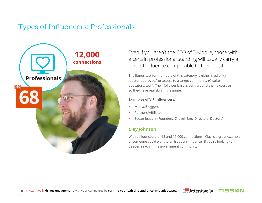### Types of Influencers: Professionals



Even if you aren't the CEO of T-Mobile, those with a certain professional standing will usually carry a level of influence comparable to their position.

The litmus test for members of this category is either credibility (doctor approved!) or access to a target community (C-suite, educators, tech). Their follower base is built around their expertise, so they have real skin in the game.

#### **Examples of VIP Influencers:**

- Media/Bloggers
- Partners/Affiliates
- Sector leaders (Founders, C-level, Exec Directors, Doctors)

#### **Clay Johnson**

With a Klout score of 68 and 11,000 connections, Clay is a great example of someone you'd want to enlist as an influencer if you're looking to deepen reach in the government community.



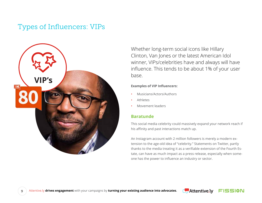### Types of Influencers: VIPs



Whether long-term social icons like Hillary Clinton, Van Jones or the latest American Idol winner, VIPs/celebrities have and always will have influence. This tends to be about 1% of your user base.

#### **Examples of VIP Influencers:**

- Musicians/Actors/Authors
- Athletes
- Movement leaders

#### **Baratunde**

This social media celebrity could massively expand your network reach if his affinity and past interactions match up.

An Instagram account with 2 million followers is merely a modern extension to the age-old idea of "celebrity." Statements on Twitter, partly thanks to the media treating it as a verifiable extension of the Fourth Estate, can have as much impact as a press release, especially when someone has the power to influence an industry or sector.



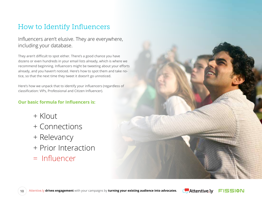### How to Identify Influencers

### Influencers aren't elusive. They are everywhere, including your database.

They aren't difficult to spot either. There's a good chance you have dozens or even hundreds in your email lists already, which is where we recommend beginning. Influencers might be tweeting about your efforts already, and you haven't noticed. Here's how to spot them and take notice, so that the next time they tweet it doesn't go unnoticed.

Here's how we unpack that to identify your influencers (regardless of classification: VIPs, Professional and Citizen Influencer).

#### **Our basic formula for Influencers is:**

- + Klout
- + Connections
- + Relevancy
- + Prior Interaction
- = Influencer





FISSION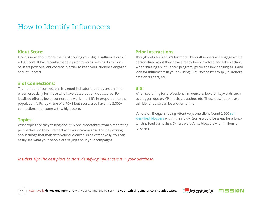### How to Identify Influencers

#### **Klout Score:**

Klout is now about more than just scoring your digital influence out of a 100 score. It has recently made a pivot towards helping its millions of users post relevant content in order to keep your audience engaged and influenced.

#### **# of Connections:**

The number of connections is a good indicator that they are an influencer, especially for those who have opted out of Klout scores. For localized efforts, fewer connections work fine if it's in proportion to the population. VIPs, by virtue of a 70+ Klout score, also have the 5,000+ connections that come with a high score.

#### **Topics:**

What topics are they talking about? More importantly, from a marketing perspective, do they intersect with your campaigns? Are they writing about things that matter to your audience? Using Attentive.ly, you can easily see what your people are saying about your campaigns.

#### **Prior Interactions:**

Though not required, it's far more likely influencers will engage with a personalized ask if they have already been involved and taken action. When starting an influencer program, go for the low-hanging fruit and look for influencers in your existing CRM, sorted by group (i.e. donors, petition signers, etc).

#### **Bio:**

When searching for professional influencers, look for keywords such as blogger, doctor, VP, musician, author, etc. These descriptions are self-identified so can be trickier to find.

(A note on Bloggers: Using Attentively, one client found 2,500 self identified bloggers within their CRM. Some would be great for a longtail drip feed campaign. Others were A-list bloggers with millions of followers.

*Insiders Tip: The best place to start identifying influencers is in your database.*

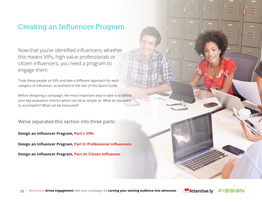### Creating an Influencer Program

Now that you've identified influencers, whether this means VIPs, high-value professionals or citizen influencers, you need a program to engage them.

Treat these people as VIPs and take a different approach for each category of influencer, as outlined in the rest of this Quick Guide.

Before designing a campaign, the most important step to take is to define your key evaluation metrics which can be as simple as: What do you want to accomplish? What can be measured?

We've separated this section into three parts:

**Design an Influencer Program, Part I: VIPs**

**Design an Influencer Program, Part II: Professional Influencers**

**Design an Influencer Program, Part III: Citizen Influencer**



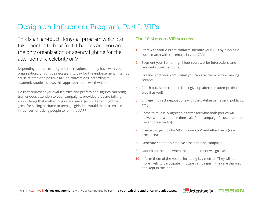### Design an Influencer Program, Part I: VIPs

This is a high-touch, long-tail program which can take months to bear fruit. Chances are, you aren't the only organization or agency fighting for the attention of a celebrity or VIP.

Depending on the celebrity and the relationship they have with your organization, it might be necessary to pay for the endorsement if it's not cause related (the positive ROI on conversions, according to academic studies, shows this approach is still worthwhile<sup>4</sup>).

Do they represent your values: VIPs and professional figures can bring tremendous attention to your campaigns, provided they are talking about things that matter to your audience. Justin Bieber might be great for selling perfume to teenage girls, but would make a terrible influencer for asking people to join the AARP.

#### **The 10 steps to VIP success:**

- 1. Start with your current contacts. Identify your VIPs by running a social match with the emails in your CRM.
- 2. Segment your list for high Klout scores, prior interactions and relevant social mentions.
- 3. Outline what you want / what you can give them before making contact.
- 4. Reach out. Make contact. Don't give up after one attempt. (But stop if asked!)
- 5. Engage in direct negotiations with the gatekeeper (agent, publicist, etc.).
- 6. Come to mutually-agreeable terms for what both parties will deliver within a suitable timescale for a campaign focused around the endorsement(s).
- 7. Create two groups for VIPs in your CRM and Attentive.ly (yes/ prospects).
- 8. Generate content & creative assets for the campaign.
- 9. Launch on the date when the endorsement will go live.
- 10. Inform them of the results including key metrics. They will be more likely to participate in future campaigns if they are thanked and kept in the loop.



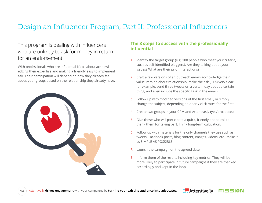### Design an Influencer Program, Part II: Professional Influencers

### This program is dealing with influencers who are unlikely to ask for money in return for an endorsement.

With professionals who are influential it's all about acknowledging their expertise and making a friendly easy to implement ask. Their participation will depend on how they already feel about your group, based on the relationship they already have.



#### **The 8 steps to success with the professionally influential**

- 1. Identify the target group (e.g. 100 people who meet your criteria, such as self-identified bloggers). Are they talking about your issues? What are their prior interactions?
- 2. Craft a few versions of an outreach email (acknowledge their value, remind about relationship, make the ask (CTA) very clear: for example, send three tweets on a certain day about a certain thing, and even include the specific task in the email).
- 3. Follow up with modified versions of the first email, or simply change the subject, depending on open / click rates for the first.
- 4. Create two groups in your CRM and Attentive.ly (yes/prospects).
- 5. Give those who will participate a quick, friendly phone call to thank them for taking part. Think long-term cultivation.
- 6. Follow up with materials for the only channels they use such as tweets, Facebook posts, blog content, images, videos, etc. Make it as SIMPLE AS POSSIBLE!
- 7. Launch the campaign on the agreed date.
- 8. Inform them of the results including key metrics. They will be more likely to participate in future campaigns if they are thanked accordingly and kept in the loop.



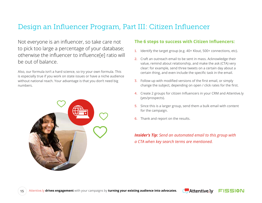### Design an Influencer Program, Part III: Citizen Influencer

Not everyone is an influencer, so take care not to pick too large a percentage of your database; otherwise the influencer to influence[e] ratio will be out of balance.

Also, our formula isn't a hard science, so try your own formula. This is especially true if you work on state issues or have a niche audience without national reach. Your advantage is that you don't need big numbers.



#### **The 6 steps to success with Citizen Influencers:**

- 1. Identify the target group (e.g. 40+ Klout, 500+ connections, etc).
- 2. Craft an outreach email to be sent in mass. Acknowledge their value, remind about relationship, and make the ask (CTA) very clear: for example, send three tweets on a certain day about a certain thing, and even include the specific task in the email.
- 3. Follow up with modified versions of the first email, or simply change the subject, depending on open / click rates for the first.
- 4. Create 2 groups for citizen Influencers in your CRM and Attentive.ly (yes/prospects).
- 5. Since this is a larger group, send them a bulk email with content for the campaign.
- 6. Thank and report on the results.

#### *Insider's Tip: Send an automated email to this group with a CTA when key search terms are mentioned.*



FISSION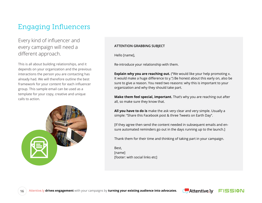### Engaging Influencers

### Every kind of influencer and every campaign will need a different approach.

This is all about building relationships, and it depends on your organization and the previous interactions the person you are contacting has already had. We will therefore outline the best framework for your content for each influencer group. This sample email can be used as a template for your copy, creative and unique calls to action.



#### **ATTENTION GRABBING SUBJECT**

Hello [name],

Re-introduce your relationship with them.

**Explain why you are reaching out.** ("We would like your help promoting x. It would make a huge difference to y.") Be honest about this early on, also be sure to give a reason. You need two reasons: why this is important to your organization and why they should take part.

**Make them feel special, important.** That's why you are reaching out after all, so make sure they know that.

**All you have to do is** make the ask very clear and very simple. Usually a simple: "Share this Facebook post & three Tweets on Earth Day".

[If they agree then send the content needed in subsequent emails and ensure automated reminders go out in the days running up to the launch.]

Thank them for their time and thinking of taking part in your campaign.

Best, [name] [footer: with social links etc]



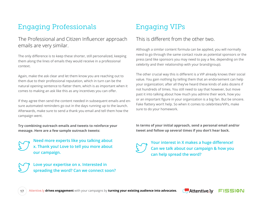### Engaging Professionals

### The Professional and Citizen Influencer approach emails are very similar.

The only difference is to keep these shorter, still personalized, keeping them along the lines of emails they would receive in a professional context.

Again, make the ask clear and let them know you are reaching out to them due to their professional reputation, which in turn can be the natural opening sentence to flatter them, which is as important when it comes to making an ask like this as any incentives you can offer.

If they agree then send the content needed in subsequent emails and ensure automated reminders go out in the days running up to the launch. Afterwards, make sure to send a thank you email and tell them how the campaign went.

**Try combining outreach emails and tweets to reinforce your message. Here are a few sample outreach tweets:**



**Need more experts like you talking about x. Thank you! Love to tell you more about our campaign.** 

**Love your expertise on x. Interested in spreading the word? Can we connect soon?** 

### Engaging VIPs

### This is different from the other two.

Although a similar content formula can be applied, you will normally need to go through the same contact route as potential sponsors or the press (and like sponsors you may need to pay a fee, depending on the celebrity and their relationship with your brand/group).

The other crucial way this is different is a VIP already knows their social value. You gain nothing by telling them that an endorsement can help your organization; after all they've heard these kinds of asks dozens if not hundreds of times. You still need to say that however, but move past it into talking about how much you admire their work, how you or an important figure in your organization is a big fan. But be sincere. Fake flattery won't help. So when it comes to celebrities/VIPs, make sure to do your homework.

**In terms of your initial approach, send a personal email and/or tweet and follow up several times if you don't hear back.**



**Your interest in X makes a huge difference! Can we talk about our campaign & how you can help spread the word?**

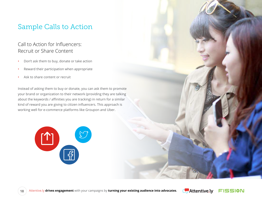### Sample Calls to Action

### Call to Action for Influencers: Recruit or Share Content

- Don't ask them to buy, donate or take action
- Reward their participation when appropriate
- Ask to share content or recruit

Instead of asking them to buy or donate, you can ask them to promote your brand or organization to their network (providing they are talking about the keywords / affinities you are tracking) in return for a similar kind of reward you are giving to citizen influencers. This approach is working well for e-commerce platforms like Groupon and Uber.





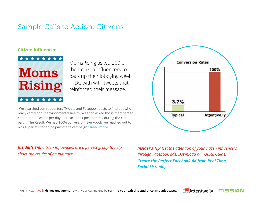### Sample Calls to Action: Citizens

#### **Citizen Influencer**



MomsRising asked 200 of their citizen influencers to back up their lobbying week in DC with with tweets that reinforced their message.

"We searched our supporters' Tweets and Facebook posts to find out who really cared about environmental health. We then asked those members to commit to 3 Tweets per day or 1 Facebook post per day during the campaign. The Result: We had 100% conversion. Everybody we reached out to was super excited to be part of the campaign." **Read more**

*Insider's Tip: Citizen Influencers are a perfect group to help share the results of an initiative.*



*Insider's Tip: Get the attention of your citizen influencers through Facebook ads. Download our Quick Guide: Create the Perfect Facebook Ad from Real Time Social Listening*





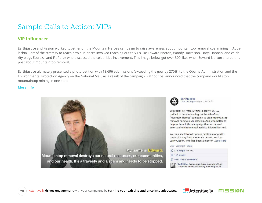### Sample Calls to Action: VIPs

#### **VIP Influencer**

Earthjustice and Fission worked together on the Mountain Heroes campaign to raise awareness about mountaintop removal coal mining in Appalachia. Part of the strategy to reach new audiences involved reaching out to VIPs like Edward Norton, Woody Harrelson, Daryl Hannah, and celebrity blogs Ecorazzi and Fit Perez who discussed the celebrities involvement. This image below got over 300 likes when Edward Norton shared this post about mountaintop removal.

Earthjustice ultimately presented a photo petition with 13,696 submissions (exceeding the goal by 270%) to the Obama Administration and the Environmental Protection Agency on the National Mall. As a result of the campaign, Patriot Coal announced that the company would stop mountaintop mining in one state.

#### **More Info**





**Earthjustice** Like This Page · May 31, 2012

WELCOME TO "MOUNTAIN HEROES"! We are thrilled to be announcing the launch of our "Mountain Heroes" campaign to stop mountaintop removal mining in Appalachia. And who better to help us launch this campaign than acclaimed actor and environmental activist, Edward Norton!

You can see Edward's photo petition along with those of many local mountain heroes, such as Larry Gibson, who has been a mentor ... See More

Like - Comment - Share

- $\mathbb{L}^4$  312 people like this.
- 
- View 3 more comments

Gail Miller Just another huge example of how corporate America is willing to so strip us of



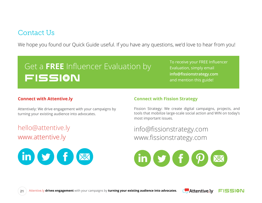### Contact Us

We hope you found our Quick Guide useful. If you have any questions, we'd love to hear from you!

# Get a **FREE** Influencer Evaluation byFISSION

To receive your FREE Influencer Evaluation, simply email **info@fissionstrategy.com**  and mention this guide!

#### **Connect with Attentive.ly**

Attentively: We drive engagement with your campaigns by turning your existing audience into advocates.

hello@attentive.ly www.attentive.ly



#### **Connect with Fission Strategy**

Fission Strategy: We create digital campaigns, projects, and tools that mobilize large-scale social action and WIN on today's most important issues.

info@fissionstrategy.com www.fissionstrategy.com